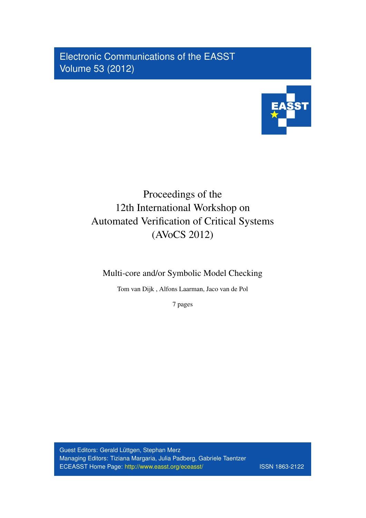Electronic Communications of the EASST Volume 53 (2012)



# Proceedings of the 12th International Workshop on Automated Verification of Critical Systems (AVoCS 2012)

Multi-core and/or Symbolic Model Checking

Tom van Dijk , Alfons Laarman, Jaco van de Pol

7 pages

Guest Editors: Gerald Lüttgen, Stephan Merz Managing Editors: Tiziana Margaria, Julia Padberg, Gabriele Taentzer ECEASST Home Page: <http://www.easst.org/eceasst/> ISSN 1863-2122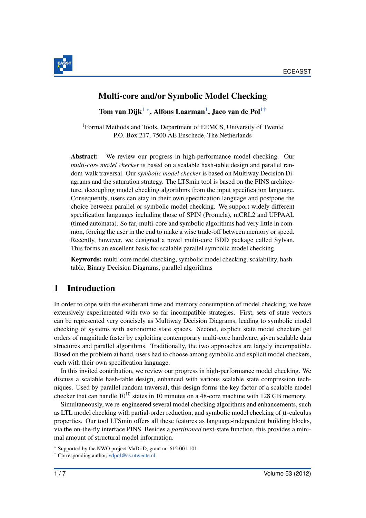

#### Multi-core and/or Symbolic Model Checking

Tom van Dijk<sup>[1](#page-1-0)</sup> \*, Alfons Laarman<sup>1</sup>, Jaco van de Pol<sup>1[†](#page-1-2)</sup>

<span id="page-1-0"></span>1Formal Methods and Tools, Department of EEMCS, University of Twente P.O. Box 217, 7500 AE Enschede, The Netherlands

Abstract: We review our progress in high-performance model checking. Our *multi-core model checker* is based on a scalable hash-table design and parallel random-walk traversal. Our *symbolic model checker* is based on Multiway Decision Diagrams and the saturation strategy. The LTSmin tool is based on the PINS architecture, decoupling model checking algorithms from the input specification language. Consequently, users can stay in their own specification language and postpone the choice between parallel or symbolic model checking. We support widely different specification languages including those of SPIN (Promela), mCRL2 and UPPAAL (timed automata). So far, multi-core and symbolic algorithms had very little in common, forcing the user in the end to make a wise trade-off between memory or speed. Recently, however, we designed a novel multi-core BDD package called Sylvan. This forms an excellent basis for scalable parallel symbolic model checking.

Keywords: multi-core model checking, symbolic model checking, scalability, hashtable, Binary Decision Diagrams, parallel algorithms

#### 1 Introduction

In order to cope with the exuberant time and memory consumption of model checking, we have extensively experimented with two so far incompatible strategies. First, sets of state vectors can be represented very concisely as Multiway Decision Diagrams, leading to symbolic model checking of systems with astronomic state spaces. Second, explicit state model checkers get orders of magnitude faster by exploiting contemporary multi-core hardware, given scalable data structures and parallel algorithms. Traditionally, the two approaches are largely incompatible. Based on the problem at hand, users had to choose among symbolic and explicit model checkers, each with their own specification language.

In this invited contribution, we review our progress in high-performance model checking. We discuss a scalable hash-table design, enhanced with various scalable state compression techniques. Used by parallel random traversal, this design forms the key factor of a scalable model checker that can handle  $10^{10}$  states in 10 minutes on a 48-core machine with 128 GB memory.

Simultaneously, we re-engineered several model checking algorithms and enhancements, such as LTL model checking with partial-order reduction, and symbolic model checking of *µ*-calculus properties. Our tool LTSmin offers all these features as language-independent building blocks, via the on-the-fly interface PINS. Besides a *partitioned* next-state function, this provides a minimal amount of structural model information.

<span id="page-1-1"></span><sup>∗</sup> Supported by the NWO project MaDriD, grant nr. 612.001.101

<span id="page-1-2"></span><sup>†</sup> Corresponding author, <vdpol@cs.utwente.nl>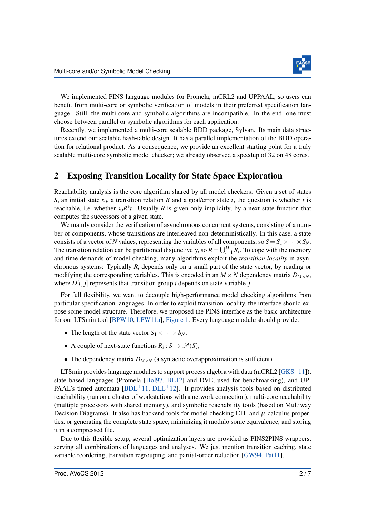

We implemented PINS language modules for Promela, mCRL2 and UPPAAL, so users can benefit from multi-core or symbolic verification of models in their preferred specification language. Still, the multi-core and symbolic algorithms are incompatible. In the end, one must choose between parallel or symbolic algorithms for each application.

Recently, we implemented a multi-core scalable BDD package, Sylvan. Its main data structures extend our scalable hash-table design. It has a parallel implementation of the BDD operation for relational product. As a consequence, we provide an excellent starting point for a truly scalable multi-core symbolic model checker; we already observed a speedup of 32 on 48 cores.

## 2 Exposing Transition Locality for State Space Exploration

Reachability analysis is the core algorithm shared by all model checkers. Given a set of states *S*, an initial state  $s_0$ , a transition relation *R* and a goal/error state *t*, the question is whether *t* is reachable, i.e. whether  $s_0R^*t$ . Usually *R* is given only implicitly, by a next-state function that computes the successors of a given state.

We mainly consider the verification of asynchronous concurrent systems, consisting of a number of components, whose transitions are interleaved non-deterministically. In this case, a state consists of a vector of *N* values, representing the variables of all components, so  $S = S_1 \times \cdots \times S_N$ . The transition relation can be partitioned disjunctively, so  $R = \bigcup_{i=1}^{M} R_i$ . To cope with the memory and time demands of model checking, many algorithms exploit the *transition locality* in asynchronous systems: Typically *Ri* depends only on a small part of the state vector, by reading or modifying the corresponding variables. This is encoded in an  $M \times N$  dependency matrix  $D_{M \times N}$ , where  $D[i, j]$  represents that transition group *i* depends on state variable *j*.

For full flexibility, we want to decouple high-performance model checking algorithms from particular specification languages. In order to exploit transition locality, the interface should expose some model structure. Therefore, we proposed the PINS interface as the basic architecture for our LTSmin tool [\[BPW10,](#page-6-0) [LPW11a\]](#page-7-0), [Figure 1.](#page-3-0) Every language module should provide:

- The length of the state vector  $S_1 \times \cdots \times S_N$ ,
- A couple of next-state functions  $R_i : S \to \mathcal{P}(S)$ ,
- The dependency matrix  $D_{M \times N}$  (a syntactic overapproximation is sufficient).

LTSmin provides language modules to support process algebra with data (mCRL2 [ $GKS^+11$ ]), state based languages (Promela [\[Hol97,](#page-7-2) [BL12\]](#page-6-1) and DVE, used for benchmarking), and UP-PAAL's timed automata  $BDL+11$ ,  $DLL+12$  $DLL+12$ ]. It provides analysis tools based on distributed reachability (run on a cluster of workstations with a network connection), multi-core reachability (multiple processors with shared memory), and symbolic reachability tools (based on Multiway Decision Diagrams). It also has backend tools for model checking LTL and  $\mu$ -calculus properties, or generating the complete state space, minimizing it modulo some equivalence, and storing it in a compressed file.

Due to this flexible setup, several optimization layers are provided as PINS2PINS wrappers, serving all combinations of languages and analyses. We just mention transition caching, state variable reordering, transition regrouping, and partial-order reduction [\[GW94,](#page-7-3) [Pat11\]](#page-7-4).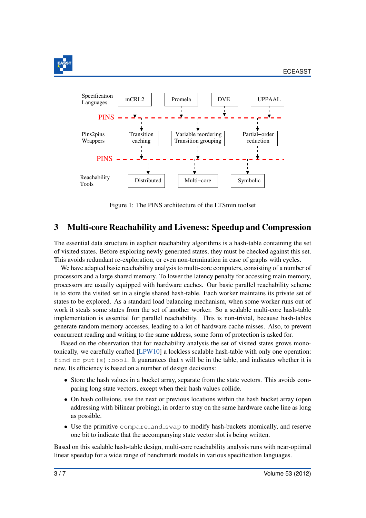

<span id="page-3-0"></span>

Figure 1: The PINS architecture of the LTSmin toolset

## 3 Multi-core Reachability and Liveness: Speedup and Compression

The essential data structure in explicit reachability algorithms is a hash-table containing the set of visited states. Before exploring newly generated states, they must be checked against this set. This avoids redundant re-exploration, or even non-termination in case of graphs with cycles.

We have adapted basic reachability analysis to multi-core computers, consisting of a number of processors and a large shared memory. To lower the latency penalty for accessing main memory, processors are usually equipped with hardware caches. Our basic parallel reachability scheme is to store the visited set in a single shared hash-table. Each worker maintains its private set of states to be explored. As a standard load balancing mechanism, when some worker runs out of work it steals some states from the set of another worker. So a scalable multi-core hash-table implementation is essential for parallel reachability. This is non-trivial, because hash-tables generate random memory accesses, leading to a lot of hardware cache misses. Also, to prevent concurrent reading and writing to the same address, some form of protection is asked for.

Based on the observation that for reachability analysis the set of visited states grows monotonically, we carefully crafted [\[LPW10\]](#page-7-5) a lockless scalable hash-table with only one operation: find or put (s): bool. It guarantees that *s* will be in the table, and indicates whether it is new. Its efficiency is based on a number of design decisions:

- Store the hash values in a bucket array, separate from the state vectors. This avoids comparing long state vectors, except when their hash values collide.
- On hash collisions, use the next or previous locations within the hash bucket array (open addressing with bilinear probing), in order to stay on the same hardware cache line as long as possible.
- Use the primitive compare and swap to modify hash-buckets atomically, and reserve one bit to indicate that the accompanying state vector slot is being written.

Based on this scalable hash-table design, multi-core reachability analysis runs with near-optimal linear speedup for a wide range of benchmark models in various specification languages.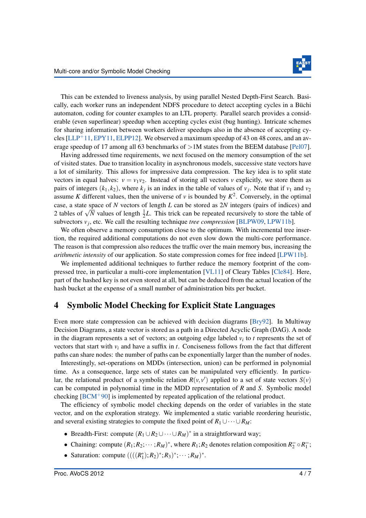This can be extended to liveness analysis, by using parallel Nested Depth-First Search. Basically, each worker runs an independent NDFS procedure to detect accepting cycles in a Büchi automaton, coding for counter examples to an LTL property. Parallel search provides a considerable (even superlinear) speedup when accepting cycles exist (bug hunting). Intricate schemes for sharing information between workers deliver speedups also in the absence of accepting cycles  $[LLP+11, EPY11, ELPP12]$  $[LLP+11, EPY11, ELPP12]$  $[LLP+11, EPY11, ELPP12]$  $[LLP+11, EPY11, ELPP12]$  $[LLP+11, EPY11, ELPP12]$ . We observed a maximum speedup of 43 on 48 cores, and an average speedup of 17 among all 63 benchmarks of *>*1M states from the BEEM database [\[Pel07\]](#page-7-9).

Having addressed time requirements, we next focused on the memory consumption of the set of visited states. Due to transition locality in asynchronous models, successive state vectors have a lot of similarity. This allows for impressive data compression. The key idea is to split state vectors in equal halves:  $v = v_1v_2$ . Instead of storing all vectors *v* explicitly, we store them as pairs of integers  $(k_1, k_2)$ , where  $k_j$  is an index in the table of values of  $v_j$ . Note that if  $v_1$  and  $v_2$ assume *K* different values, then the universe of *v* is bounded by  $K^2$ . Conversely, in the optimal case, a state space of *N* vectors of length *L* can be stored as 2*N* integers (pairs of indices) and 2 tables of  $\sqrt{N}$  values of length  $\frac{1}{2}L$ . This trick can be repeated recursively to store the table of subvectors  $v_j$ , etc. We call the resulting technique *tree compression* [\[BLPW09,](#page-6-4) [LPW11b\]](#page-7-10).

We often observe a memory consumption close to the optimum. With incremental tree insertion, the required additional computations do not even slow down the multi-core performance. The reason is that compression also reduces the traffic over the main memory bus, increasing the *arithmetic intensity* of our application. So state compression comes for free indeed [\[LPW11b\]](#page-7-10).

We implemented additional techniques to further reduce the memory footprint of the compressed tree, in particular a multi-core implementation [\[VL11\]](#page-7-11) of Cleary Tables [\[Cle84\]](#page-6-5). Here, part of the hashed key is not even stored at all, but can be deduced from the actual location of the hash bucket at the expense of a small number of administration bits per bucket.

## 4 Symbolic Model Checking for Explicit State Languages

Even more state compression can be achieved with decision diagrams [\[Bry92\]](#page-6-6). In Multiway Decision Diagrams, a state vector is stored as a path in a Directed Acyclic Graph (DAG). A node in the diagram represents a set of vectors; an outgoing edge labeled *vi* to *t* represents the set of vectors that start with *vi* and have a suffix in *t*. Conciseness follows from the fact that different paths can share nodes: the number of paths can be exponentially larger than the number of nodes.

Interestingly, set-operations on MDDs (intersection, union) can be performed in polynomial time. As a consequence, large sets of states can be manipulated very efficiently. In particular, the relational product of a symbolic relation  $R(v, v')$  applied to a set of state vectors  $S(v)$ can be computed in polynomial time in the MDD representation of *R* and *S*. Symbolic model checking [\[BCM](#page-6-7)+90] is implemented by repeated application of the relational product.

The efficiency of symbolic model checking depends on the order of variables in the state vector, and on the exploration strategy. We implemented a static variable reordering heuristic, and several existing strategies to compute the fixed point of  $R_1 \cup \cdots \cup R_M$ :

- Breadth-First: compute  $(R_1 \cup R_2 \cup \cdots \cup R_M)^*$  in a straightforward way;
- Chaining: compute  $(R_1; R_2; \dots; R_M)^*$ , where  $R_1; R_2$  denotes relation composition  $R_2^- \circ R_1^-$ ;
- Saturation: compute  $(((R_1^*); R_2)^*; R_3)^*; \cdots; R_M)^*$ .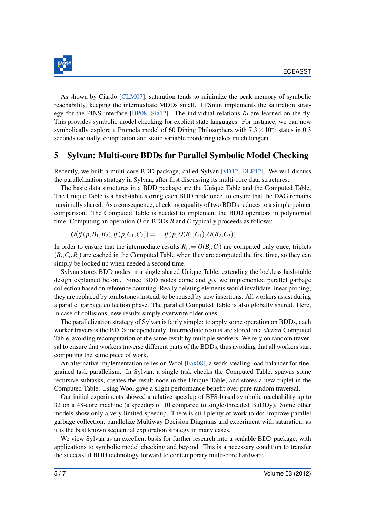

As shown by Ciardo [\[CLM07\]](#page-6-8), saturation tends to minimize the peak memory of symbolic reachability, keeping the intermediate MDDs small. LTSmin implements the saturation strategy for the PINS interface [\[BP08,](#page-6-9) [Sia12\]](#page-7-12). The individual relations *Ri* are learned on-the-fly. This provides symbolic model checking for explicit state languages. For instance, we can now symbolically explore a Promela model of 60 Dining Philosophers with  $7.3 \times 10^{41}$  states in 0.3 seconds (actually, compilation and static variable reordering takes much longer).

#### 5 Sylvan: Multi-core BDDs for Parallel Symbolic Model Checking

Recently, we built a multi-core BDD package, called Sylvan [\[vD12,](#page-6-10) [DLP12\]](#page-6-11). We will discuss the parallelization strategy in Sylvan, after first discussing its multi-core data structures.

The basic data structures in a BDD package are the Unique Table and the Computed Table. The Unique Table is a hash-table storing each BDD node once, to ensure that the DAG remains maximally shared. As a consequence, checking equality of two BDDs reduces to a simple pointer comparison. The Computed Table is needed to implement the BDD operators in polynomial time. Computing an operation *O* on BDDs *B* and *C* typically proceeds as follows:

$$
O(if(p, B_1, B_2), if(p, C_1, C_2)) = \dots if(p, O(B_1, C_1), O(B_2, C_2))\dots
$$

In order to ensure that the intermediate results  $R_i := O(B_i, C_i)$  are computed only once, triplets  $(B_i, C_i, R_i)$  are cached in the Computed Table when they are computed the first time, so they can simply be looked up when needed a second time.

Sylvan stores BDD nodes in a single shared Unique Table, extending the lockless hash-table design explained before. Since BDD nodes come and go, we implemented parallel garbage collection based on reference counting. Really deleting elements would invalidate linear probing; they are replaced by tombstones instead, to be reused by new insertions. All workers assist during a parallel garbage collection phase. The parallel Computed Table is also globally shared. Here, in case of collisions, new results simply overwrite older ones.

The parallelization strategy of Sylvan is fairly simple: to apply some operation on BDDs, each worker traverses the BDDs independently. Intermediate results are stored in a *shared* Computed Table, avoiding recomputation of the same result by multiple workers. We rely on random traversal to ensure that workers traverse different parts of the BDDs, thus avoiding that all workers start computing the same piece of work.

An alternative implementation relies on Wool [ $Fax08$ ], a work-stealing load balancer for finegrained task parallelism. In Sylvan, a single task checks the Computed Table, spawns some recursive subtasks, creates the result node in the Unique Table, and stores a new triplet in the Computed Table. Using Wool gave a slight performance benefit over pure random traversal.

Our initial experiments showed a relative speedup of BFS-based symbolic reachability up to 32 on a 48-core machine (a speedup of 10 compared to single-threaded BuDDy). Some other models show only a very limited speedup. There is still plenty of work to do: improve parallel garbage collection, parallelize Multiway Decision Diagrams and experiment with saturation, as it is the best known sequential exploration strategy in many cases.

We view Sylvan as an excellent basis for further research into a scalable BDD package, with applications to symbolic model checking and beyond. This is a necessary condition to transfer the successful BDD technology forward to contemporary multi-core hardware.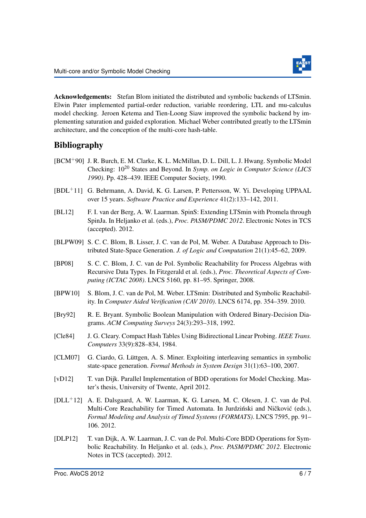

Acknowledgements: Stefan Blom initiated the distributed and symbolic backends of LTSmin. Elwin Pater implemented partial-order reduction, variable reordering, LTL and mu-calculus model checking. Jeroen Ketema and Tien-Loong Siaw improved the symbolic backend by implementing saturation and guided exploration. Michael Weber contributed greatly to the LTSmin architecture, and the conception of the multi-core hash-table.

## Bibliography

- <span id="page-6-7"></span>[BCM+90] J. R. Burch, E. M. Clarke, K. L. McMillan, D. L. Dill, L. J. Hwang. Symbolic Model Checking: 10<sup>20</sup> States and Beyond. In *Symp. on Logic in Computer Science (LICS 1990)*. Pp. 428–439. IEEE Computer Society, 1990.
- <span id="page-6-2"></span>[BDL+11] G. Behrmann, A. David, K. G. Larsen, P. Pettersson, W. Yi. Developing UPPAAL over 15 years. *Software Practice and Experience* 41(2):133–142, 2011.
- <span id="page-6-1"></span>[BL12] F. I. van der Berg, A. W. Laarman. SpinS: Extending LTSmin with Promela through SpinJa. In Heljanko et al. (eds.), *Proc. PASM/PDMC 2012*. Electronic Notes in TCS (accepted). 2012.
- <span id="page-6-4"></span>[BLPW09] S. C. C. Blom, B. Lisser, J. C. van de Pol, M. Weber. A Database Approach to Distributed State-Space Generation. *J. of Logic and Computation* 21(1):45–62, 2009.
- <span id="page-6-9"></span>[BP08] S. C. C. Blom, J. C. van de Pol. Symbolic Reachability for Process Algebras with Recursive Data Types. In Fitzgerald et al. (eds.), *Proc. Theoretical Aspects of Computing (ICTAC 2008)*. LNCS 5160, pp. 81–95. Springer, 2008.
- <span id="page-6-0"></span>[BPW10] S. Blom, J. C. van de Pol, M. Weber. LTSmin: Distributed and Symbolic Reachability. In *Computer Aided Verification (CAV 2010)*. LNCS 6174, pp. 354–359. 2010.
- <span id="page-6-6"></span>[Bry92] R. E. Bryant. Symbolic Boolean Manipulation with Ordered Binary-Decision Diagrams. *ACM Computing Surveys* 24(3):293–318, 1992.
- <span id="page-6-5"></span>[Cle84] J. G. Cleary. Compact Hash Tables Using Bidirectional Linear Probing. *IEEE Trans. Computers* 33(9):828–834, 1984.
- <span id="page-6-8"></span>[CLM07] G. Ciardo, G. Lüttgen, A. S. Miner. Exploiting interleaving semantics in symbolic state-space generation. *Formal Methods in System Design* 31(1):63–100, 2007.
- <span id="page-6-10"></span>[vD12] T. van Dijk. Parallel Implementation of BDD operations for Model Checking. Master's thesis, University of Twente, April 2012.
- <span id="page-6-3"></span>[DLL+12] A. E. Dalsgaard, A. W. Laarman, K. G. Larsen, M. C. Olesen, J. C. van de Pol. Multi-Core Reachability for Timed Automata. In Jurdziński and Ničković (eds.), *Formal Modeling and Analysis of Timed Systems (FORMATS)*. LNCS 7595, pp. 91– 106. 2012.
- <span id="page-6-11"></span>[DLP12] T. van Dijk, A. W. Laarman, J. C. van de Pol. Multi-Core BDD Operations for Symbolic Reachability. In Heljanko et al. (eds.), *Proc. PASM/PDMC 2012*. Electronic Notes in TCS (accepted). 2012.